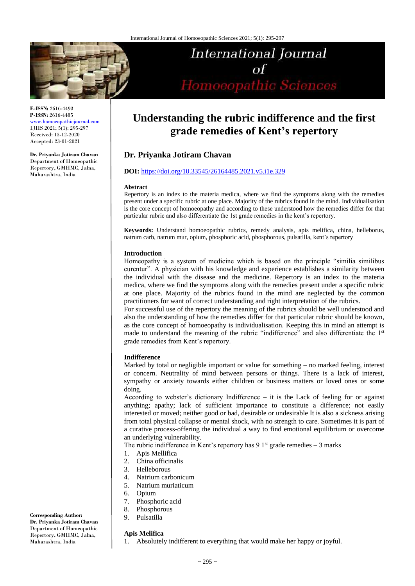

**E-ISSN:** 2616-4493 **P-ISSN:** 2616-4485 [www.homoeopathicjournal.com](file://Server/test/homoeopathicjournal/issue/vol%204/issue%201/www.homoeopathicjournal.com) IJHS 2021; 5(1): 295-297 Received: 15-12-2020

Accepted: 23-01-2021

**Dr. Priyanka Jotiram Chavan** Department of Homeopathic Repertory, GMHMC, Jalna, Maharashtra, India

# **International Journal**  $\sigma$ f Homoeopathic Sciences

## **Understanding the rubric indifference and the first grade remedies of Kent's repertory**

### **Dr. Priyanka Jotiram Chavan**

#### **DOI:** <https://doi.org/10.33545/26164485.2021.v5.i1e.329>

#### **Abstract**

Repertory is an index to the materia medica, where we find the symptoms along with the remedies present under a specific rubric at one place. Majority of the rubrics found in the mind. Individualisation is the core concept of homoeopathy and according to these understood how the remedies differ for that particular rubric and also differentiate the 1st grade remedies in the kent's repertory.

**Keywords:** Understand homoeopathic rubrics, remedy analysis, apis melifica, china, helleborus, natrum carb, natrum mur, opium, phosphoric acid, phosphorous, pulsatilla, kent's repertory

#### **Introduction**

Homeopathy is a system of medicine which is based on the principle "similia similibus curentur". A physician with his knowledge and experience establishes a similarity between the individual with the disease and the medicine. Repertory is an index to the materia medica, where we find the symptoms along with the remedies present under a specific rubric at one place. Majority of the rubrics found in the mind are neglected by the common practitioners for want of correct understanding and right interpretation of the rubrics.

For successful use of the repertory the meaning of the rubrics should be well understood and also the understanding of how the remedies differ for that particular rubric should be known, as the core concept of homoeopathy is individualisation. Keeping this in mind an attempt is made to understand the meaning of the rubric "indifference" and also differentiate the 1<sup>st</sup> grade remedies from Kent's repertory.

#### **Indifference**

Marked by total or negligible important or value for something – no marked feeling, interest or concern. Neutrality of mind between persons or things. There is a lack of interest, sympathy or anxiety towards either children or business matters or loved ones or some doing.

According to webster's dictionary Indifference – it is the Lack of feeling for or against anything; apathy; lack of sufficient importance to constitute a difference; not easily interested or moved; neither good or bad, desirable or undesirable It is also a sickness arising from total physical collapse or mental shock, with no strength to care. Sometimes it is part of a curative process-offering the individual a way to find emotional equilibrium or overcome an underlying vulnerability.

The rubric indifference in Kent's repertory has 9  $1<sup>st</sup>$  grade remedies – 3 marks

- 1. Apis Mellifica
- 2. China officinalis
- 3. Helleborous
- Natrium carbonicum
- 5. Natrium muriaticum
- 6. Opium
- 7. Phosphoric acid
- 8. Phosphorous
- 9. Pulsatilla

#### **Apis Melifica**

1. Absolutely indifferent to everything that would make her happy or joyful.

**Corresponding Author:**

**Dr. Priyanka Jotiram Chavan** Department of Homeopathic Repertory, GMHMC, Jalna, Maharashtra, India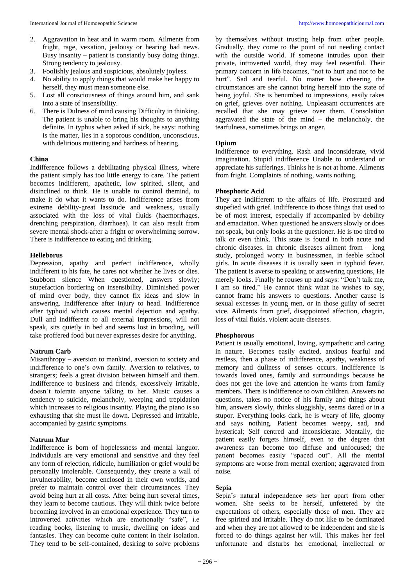- 2. Aggravation in heat and in warm room. Ailments from fright, rage, vexation, jealousy or hearing bad news. Busy insanity – patient is constantly busy doing things. Strong tendency to jealousy.
- 3. Foolishly jealous and suspicious, absolutely joyless.
- 4. No ability to apply things that would make her happy to herself, they must mean someone else.
- 5. Lost all consciousness of things around him, and sank into a state of insensibility.
- 6. There is Dulness of mind causing Difficulty in thinking. The patient is unable to bring his thoughts to anything definite. In typhus when asked if sick, he says: nothing is the matter, lies in a soporous condition, unconscious, with delirious muttering and hardness of hearing.

#### **China**

Indifference follows a debilitating physical illness, where the patient simply has too little energy to care. The patient becomes indifferent, apathetic, low spirited, silent, and disinclined to think. He is unable to control themind, to make it do what it wants to do. Indifference arises from extreme debility-great lassitude and weakness, usually associated with the loss of vital fluids (haemorrhages, drenching perspiration, diarrhoea). It can also result from severe mental shock-after a fright or overwhelming sorrow. There is indifference to eating and drinking.

#### **Helleborus**

Depression, apathy and perfect indifference, wholly indifferent to his fate, he cares not whether he lives or dies. Stubborn silence When questioned, answers slowly; stupefaction bordering on insensibility. Diminished power of mind over body, they cannot fix ideas and slow in answering. Indifference after injury to head. Indifference after typhoid which causes mental dejection and apathy. Dull and indifferent to all external impressions, will not speak, sits quietly in bed and seems lost in brooding, will take proffered food but never expresses desire for anything.

#### **Natrum Carb**

Misanthropy – aversion to mankind, aversion to society and indifference to one's own family. Aversion to relatives, to strangers; feels a great division between himself and them. Indifference to business and friends, excessively irritable, doesn't tolerate anyone talking to her. Music causes a tendency to suicide, melancholy, weeping and trepidation which increases to religious insanity. Playing the piano is so exhausting that she must lie down. Depressed and irritable, accompanied by gastric symptoms.

#### **Natrum Mur**

Indifference is born of hopelessness and mental languor. Individuals are very emotional and sensitive and they feel any form of rejection, ridicule, humiliation or grief would be personally intolerable. Consequently, they create a wall of invulnerability, become enclosed in their own worlds, and prefer to maintain control over their circumstances. They avoid being hurt at all costs. After being hurt several times, they learn to become cautious. They will think twice before becoming involved in an emotional experience. They turn to introverted activities which are emotionally "safe", i.e reading books, listening to music, dwelling on ideas and fantasies. They can become quite content in their isolation. They tend to be self-contained, desiring to solve problems

by themselves without trusting help from other people. Gradually, they come to the point of not needing contact with the outside world. If someone intrudes upon their private, introverted world, they may feel resentful. Their primary concern in life becomes, "not to hurt and not to be hurt". Sad and tearful. No matter how cheering the circumstances are she cannot bring herself into the state of being joyful. She is benumbed to impressions, easily takes on grief, grieves over nothing. Unpleasant occurrences are recalled that she may grieve over them. Consolation aggravated the state of the mind  $-$  the melancholy, the tearfulness, sometimes brings on anger.

#### **Opium**

Indifference to everything. Rash and inconsiderate, vivid imagination. Stupid indifference Unable to understand or appreciate his sufferings. Thinks he is not at home. Ailments from fright. Complaints of nothing, wants nothing.

#### **Phosphoric Acid**

They are indifferent to the affairs of life. Prostrated and stupefied with grief. Indifference to those things that used to be of most interest, especially if accompanied by debility and emaciation. When questioned he answers slowly or does not speak, but only looks at the questioner. He is too tired to talk or even think. This state is found in both acute and chronic diseases. In chronic diseases ailment from – long study, prolonged worry in businessmen, in feeble school girls. In acute diseases it is usually seen in typhoid fever. The patient is averse to speaking or answering questions, He merely looks. Finally he rouses up and says: "Don't talk me, I am so tired." He cannot think what he wishes to say, cannot frame his answers to questions. Another cause is sexual excesses in young men, or in those guilty of secret vice. Ailments from grief, disappointed affection, chagrin, loss of vital fluids, violent acute diseases.

#### **Phosphorous**

Patient is usually emotional, loving, sympathetic and caring in nature. Becomes easily excited, anxious fearful and restless, then a phase of indifference, apathy, weakness of memory and dullness of senses occurs. Indifference is towards loved ones, family and surroundings because he does not get the love and attention he wants from family members. There is indifference to own children. Answers no questions, takes no notice of his family and things about him, answers slowly, thinks sluggishly, seems dazed or in a stupor. Everything looks dark, he is weary of life, gloomy and says nothing. Patient becomes weepy, sad, and hysterical; Self centred and inconsiderate. Mentally, the patient easily forgets himself, even to the degree that awareness can become too diffuse and unfocused; the patient becomes easily "spaced out". All the mental symptoms are worse from mental exertion; aggravated from noise.

#### **Sepia**

Sepia's natural independence sets her apart from other women. She seeks to be herself, unfettered by the expectations of others, especially those of men. They are free spirited and irritable. They do not like to be dominated and when they are not allowed to be independent and she is forced to do things against her will. This makes her feel unfortunate and disturbs her emotional, intellectual or